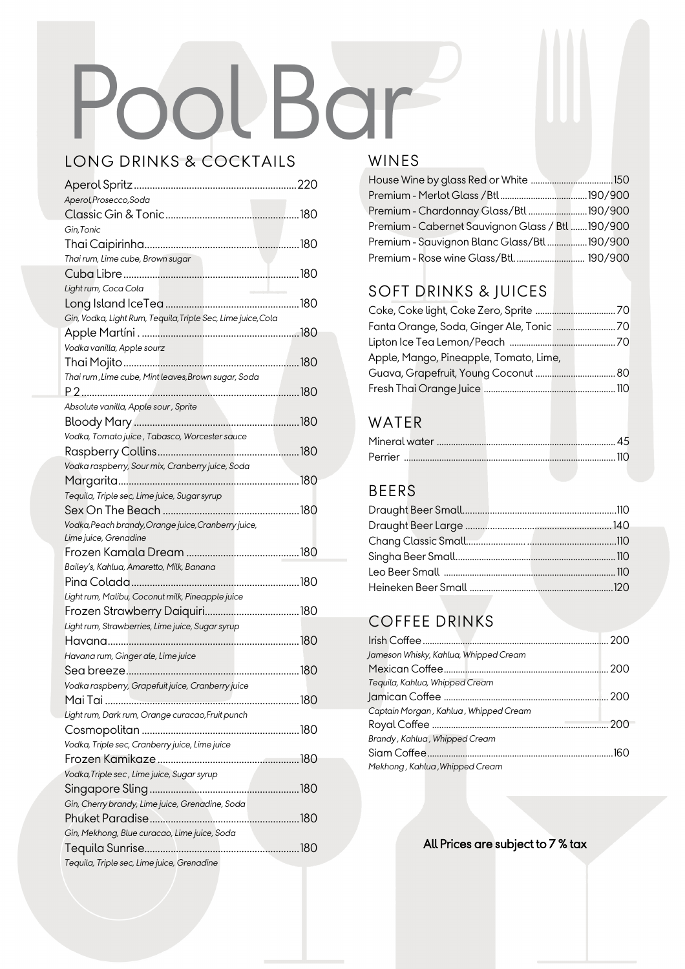# PoolBar

## LONG DRINKS & COCKTAILS Aperol Spritz..............................................................220

| Aperol, Prosecco, Soda                                       |  |
|--------------------------------------------------------------|--|
|                                                              |  |
| Gin, Tonic                                                   |  |
|                                                              |  |
| Thai rum, Lime cube, Brown sugar                             |  |
|                                                              |  |
| Light rum, Coca Cola                                         |  |
|                                                              |  |
| Gin, Vodka, Light Rum, Tequila, Triple Sec, Lime juice, Cola |  |
|                                                              |  |
| Vodka vanilla, Apple sourz                                   |  |
|                                                              |  |
| Thai rum, Lime cube, Mint leaves, Brown sugar, Soda          |  |
|                                                              |  |
| Absolute vanilla, Apple sour, Sprite                         |  |
|                                                              |  |
| Vodka, Tomato juice, Tabasco, Worcester sauce                |  |
|                                                              |  |
| Vodka raspberry, Sour mix, Cranberry juice, Soda             |  |
|                                                              |  |
| Tequila, Triple sec, Lime juice, Sugar syrup                 |  |
|                                                              |  |
| Vodka, Peach brandy, Orange juice, Cranberry juice,          |  |
|                                                              |  |
| Lime juice, Grenadine                                        |  |
|                                                              |  |
| Bailey's, Kahlua, Amaretto, Milk, Banana                     |  |
|                                                              |  |
| Light rum, Malibu, Coconut milk, Pineapple juice             |  |
|                                                              |  |
| Light rum, Strawberries, Lime juice, Sugar syrup             |  |
|                                                              |  |
| Havana rum, Ginger ale, Lime juice                           |  |
|                                                              |  |
| Vodka raspberry, Grapefuit juice, Cranberry juice            |  |
| Mai Tai<br>180                                               |  |
| Light rum, Dark rum, Orange curacao, Fruit punch             |  |
|                                                              |  |
| Vodka, Triple sec, Cranberry juice, Lime juice               |  |
|                                                              |  |
| Vodka, Triple sec, Lime juice, Sugar syrup                   |  |
|                                                              |  |
| Gin, Cherry brandy, Lime juice, Grenadine, Soda              |  |
|                                                              |  |
| Gin, Mekhong, Blue curacao, Lime juice, Soda                 |  |
| Tequila, Triple sec, Lime juice, Grenadine                   |  |

#### WINES

| Premium - Chardonnay Glass/Btl 190/900          |  |
|-------------------------------------------------|--|
| Premium - Cabernet Sauvignon Glass / Btl190/900 |  |
| Premium - Sauvignon Blanc Glass/Btl190/900      |  |
| Premium - Rose wine Glass/Btl 190/900           |  |

## SOFT DRINKS & JUICES

| Apple, Mango, Pineapple, Tomato, Lime, |  |
|----------------------------------------|--|
|                                        |  |
|                                        |  |

#### WATER

| Perrier |  |  |
|---------|--|--|

#### BEERS

### COFFEE DRINKS

| Jameson Whisky, Kahlua, Whipped Cream |  |
|---------------------------------------|--|
|                                       |  |
| Tequila, Kahlua, Whipped Cream        |  |
|                                       |  |
| Captain Morgan, Kahlua, Whipped Cream |  |
|                                       |  |
| Brandy, Kahlua, Whipped Cream         |  |
|                                       |  |
| Mekhong, Kahlua, Whipped Cream        |  |

All Prices are subject to 7 % tax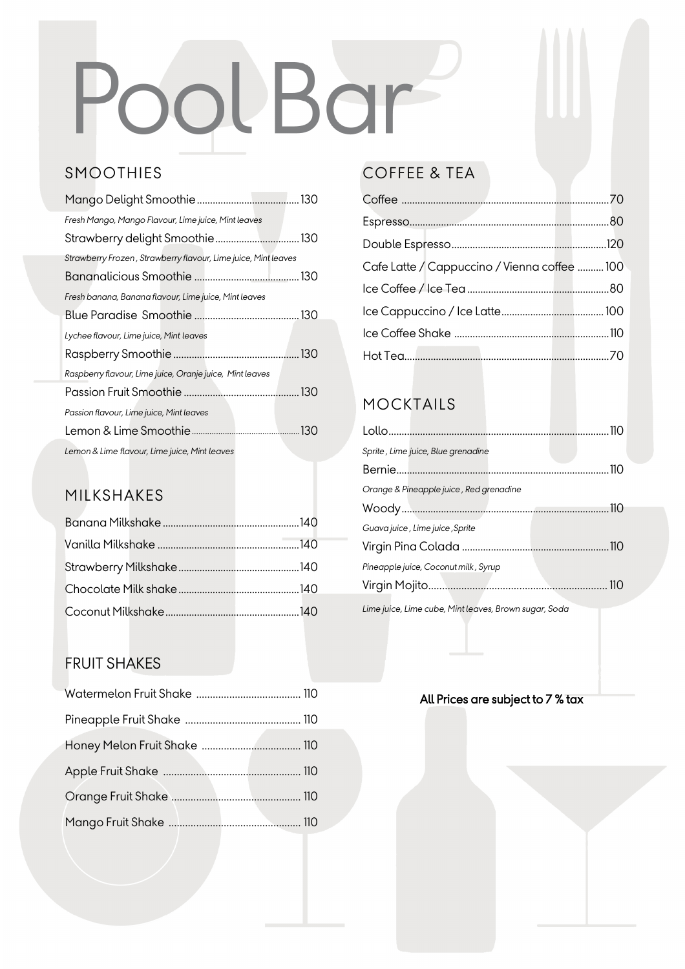# PoolBar

### SMOOTHIES

| Fresh Mango, Mango Flavour, Lime juice, Mint leaves            |  |
|----------------------------------------------------------------|--|
|                                                                |  |
| Strawberry Frozen, Strawberry flavour, Lime juice, Mint leaves |  |
|                                                                |  |
| Fresh banana, Banana flavour, Lime juice, Mint leaves          |  |
|                                                                |  |
| Lychee flavour, Lime juice, Mint leaves                        |  |
|                                                                |  |
| Raspberry flavour, Lime juice, Oranje juice, Mint leaves       |  |
|                                                                |  |
| Passion flavour, Lime juice, Mint leaves                       |  |
|                                                                |  |
| Lemon & Lime flavour, Lime juice, Mint leaves                  |  |

#### MILKSHAKES

#### FRUIT SHAKES

### COFFEE & TEA

| Cafe Latte / Cappuccino / Vienna coffee  100 |  |
|----------------------------------------------|--|
|                                              |  |
|                                              |  |
|                                              |  |
|                                              |  |

#### MOCKTAILS

| Sprite, Lime juice, Blue grenadine                    |  |
|-------------------------------------------------------|--|
|                                                       |  |
| Orange & Pineapple juice, Red grenadine               |  |
|                                                       |  |
| Guava juice, Lime juice, Sprite                       |  |
|                                                       |  |
| Pineapple juice, Coconut milk, Syrup                  |  |
|                                                       |  |
| Lime juice, Lime cube, Mint leaves, Brown sugar, Soda |  |

#### All Prices are subject to 7 % tax